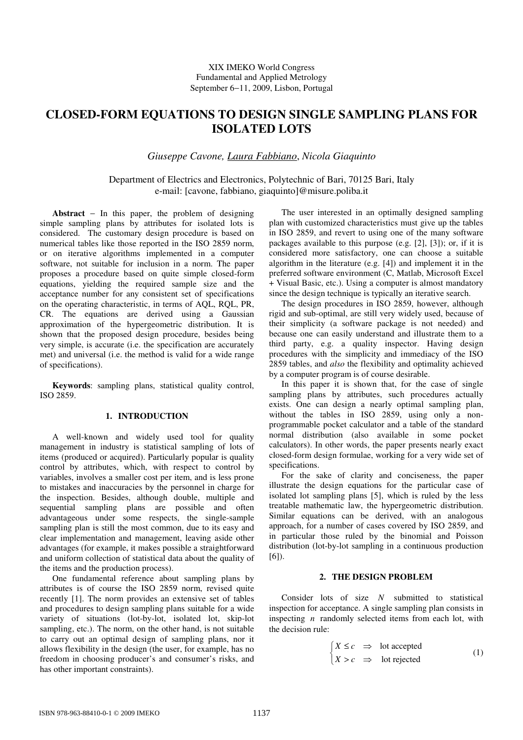# **CLOSED-FORM EQUATIONS TO DESIGN SINGLE SAMPLING PLANS FOR ISOLATED LOTS**

*Giuseppe Cavone, Laura Fabbiano*, *Nicola Giaquinto* 

Department of Electrics and Electronics, Polytechnic of Bari, 70125 Bari, Italy e-mail: [cavone, fabbiano, giaquinto]@misure.poliba.it

**Abstract** − In this paper, the problem of designing simple sampling plans by attributes for isolated lots is considered. The customary design procedure is based on numerical tables like those reported in the ISO 2859 norm, or on iterative algorithms implemented in a computer software, not suitable for inclusion in a norm. The paper proposes a procedure based on quite simple closed-form equations, yielding the required sample size and the acceptance number for any consistent set of specifications on the operating characteristic, in terms of AQL, RQL, PR, CR. The equations are derived using a Gaussian approximation of the hypergeometric distribution. It is shown that the proposed design procedure, besides being very simple, is accurate (i.e. the specification are accurately met) and universal (i.e. the method is valid for a wide range of specifications).

**Keywords**: sampling plans, statistical quality control, ISO 2859.

# **1. INTRODUCTION**

A well-known and widely used tool for quality management in industry is statistical sampling of lots of items (produced or acquired). Particularly popular is quality control by attributes, which, with respect to control by variables, involves a smaller cost per item, and is less prone to mistakes and inaccuracies by the personnel in charge for the inspection. Besides, although double, multiple and sequential sampling plans are possible and often advantageous under some respects, the single-sample sampling plan is still the most common, due to its easy and clear implementation and management, leaving aside other advantages (for example, it makes possible a straightforward and uniform collection of statistical data about the quality of the items and the production process).

One fundamental reference about sampling plans by attributes is of course the ISO 2859 norm, revised quite recently [1]. The norm provides an extensive set of tables and procedures to design sampling plans suitable for a wide variety of situations (lot-by-lot, isolated lot, skip-lot sampling, etc.). The norm, on the other hand, is not suitable to carry out an optimal design of sampling plans, nor it allows flexibility in the design (the user, for example, has no freedom in choosing producer's and consumer's risks, and has other important constraints).

The user interested in an optimally designed sampling plan with customized characteristics must give up the tables in ISO 2859, and revert to using one of the many software packages available to this purpose (e.g. [2], [3]); or, if it is considered more satisfactory, one can choose a suitable algorithm in the literature (e.g. [4]) and implement it in the preferred software environment (C, Matlab, Microsoft Excel + Visual Basic, etc.). Using a computer is almost mandatory since the design technique is typically an iterative search.

The design procedures in ISO 2859, however, although rigid and sub-optimal, are still very widely used, because of their simplicity (a software package is not needed) and because one can easily understand and illustrate them to a third party, e.g. a quality inspector. Having design procedures with the simplicity and immediacy of the ISO 2859 tables, and *also* the flexibility and optimality achieved by a computer program is of course desirable.

In this paper it is shown that, for the case of single sampling plans by attributes, such procedures actually exists. One can design a nearly optimal sampling plan, without the tables in ISO 2859, using only a nonprogrammable pocket calculator and a table of the standard normal distribution (also available in some pocket calculators). In other words, the paper presents nearly exact closed-form design formulae, working for a very wide set of specifications.

For the sake of clarity and conciseness, the paper illustrate the design equations for the particular case of isolated lot sampling plans [5], which is ruled by the less treatable mathematic law, the hypergeometric distribution. Similar equations can be derived, with an analogous approach, for a number of cases covered by ISO 2859, and in particular those ruled by the binomial and Poisson distribution (lot-by-lot sampling in a continuous production  $[6]$ ).

#### **2. THE DESIGN PROBLEM**

Consider lots of size *N* submitted to statistical inspection for acceptance. A single sampling plan consists in inspecting *n* randomly selected items from each lot, with the decision rule:

$$
\begin{cases}\nX \leq c & \Rightarrow \text{ lot accepted} \\
X > c & \Rightarrow \text{ lot rejected}\n\end{cases}
$$
\n(1)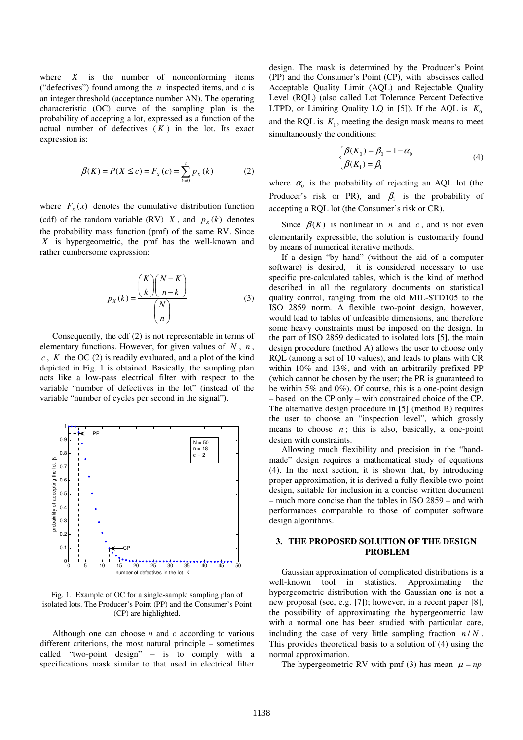where *X* is the number of nonconforming items ("defectives") found among the *n* inspected items, and *c* is an integer threshold (acceptance number AN). The operating characteristic (OC) curve of the sampling plan is the probability of accepting a lot, expressed as a function of the actual number of defectives  $(K)$  in the lot. Its exact expression is:

$$
\beta(K) = P(X \le c) = F_X(c) = \sum_{k=0}^{c} p_X(k) \tag{2}
$$

where  $F_x(x)$  denotes the cumulative distribution function (cdf) of the random variable (RV)  $X$ , and  $p_X(k)$  denotes the probability mass function (pmf) of the same RV. Since *X* is hypergeometric, the pmf has the well-known and rather cumbersome expression:

$$
p_X(k) = \frac{\binom{K}{k}\binom{N-K}{n-k}}{\binom{N}{n}}
$$
(3)

Consequently, the cdf (2) is not representable in terms of elementary functions. However, for given values of *N* , *n* , *c* , *K* the OC (2) is readily evaluated, and a plot of the kind depicted in Fig. 1 is obtained. Basically, the sampling plan acts like a low-pass electrical filter with respect to the variable "number of defectives in the lot" (instead of the variable "number of cycles per second in the signal").



Fig. 1. Example of OC for a single-sample sampling plan of isolated lots. The Producer's Point (PP) and the Consumer's Point (CP) are highlighted.

Although one can choose *n* and *c* according to various different criterions, the most natural principle – sometimes called "two-point design" – is to comply with a specifications mask similar to that used in electrical filter design. The mask is determined by the Producer's Point (PP) and the Consumer's Point (CP), with abscisses called Acceptable Quality Limit (AQL) and Rejectable Quality Level (RQL) (also called Lot Tolerance Percent Defective LTPD, or Limiting Quality LQ in [5]). If the AQL is  $K_0$ and the RQL is  $K_1$ , meeting the design mask means to meet simultaneously the conditions:

$$
\begin{cases}\n\beta(K_0) = \beta_0 = 1 - \alpha_0 \\
\beta(K_1) = \beta_1\n\end{cases}
$$
\n(4)

where  $\alpha_0$  is the probability of rejecting an AQL lot (the Producer's risk or PR), and  $\beta_1$  is the probability of accepting a RQL lot (the Consumer's risk or CR).

Since  $\beta(K)$  is nonlinear in *n* and *c*, and is not even elementarily expressible, the solution is customarily found by means of numerical iterative methods.

If a design "by hand" (without the aid of a computer software) is desired, it is considered necessary to use specific pre-calculated tables, which is the kind of method described in all the regulatory documents on statistical quality control, ranging from the old MIL-STD105 to the ISO 2859 norm. A flexible two-point design, however, would lead to tables of unfeasible dimensions, and therefore some heavy constraints must be imposed on the design. In the part of ISO 2859 dedicated to isolated lots [5], the main design procedure (method A) allows the user to choose only RQL (among a set of 10 values), and leads to plans with CR within 10% and 13%, and with an arbitrarily prefixed PP (which cannot be chosen by the user; the PR is guaranteed to be within 5% and 0%). Of course, this is a one-point design – based on the CP only – with constrained choice of the CP. The alternative design procedure in [5] (method B) requires the user to choose an "inspection level", which grossly means to choose  $n$ ; this is also, basically, a one-point design with constraints.

Allowing much flexibility and precision in the "handmade" design requires a mathematical study of equations (4). In the next section, it is shown that, by introducing proper approximation, it is derived a fully flexible two-point design, suitable for inclusion in a concise written document – much more concise than the tables in ISO 2859 – and with performances comparable to those of computer software design algorithms.

# **3. THE PROPOSED SOLUTION OF THE DESIGN PROBLEM**

Gaussian approximation of complicated distributions is a well-known tool in statistics. Approximating the hypergeometric distribution with the Gaussian one is not a new proposal (see, e.g. [7]); however, in a recent paper [8], the possibility of approximating the hypergeometric law with a normal one has been studied with particular care, including the case of very little sampling fraction  $n/N$ . This provides theoretical basis to a solution of (4) using the normal approximation.

The hypergeometric RV with pmf (3) has mean  $\mu = np$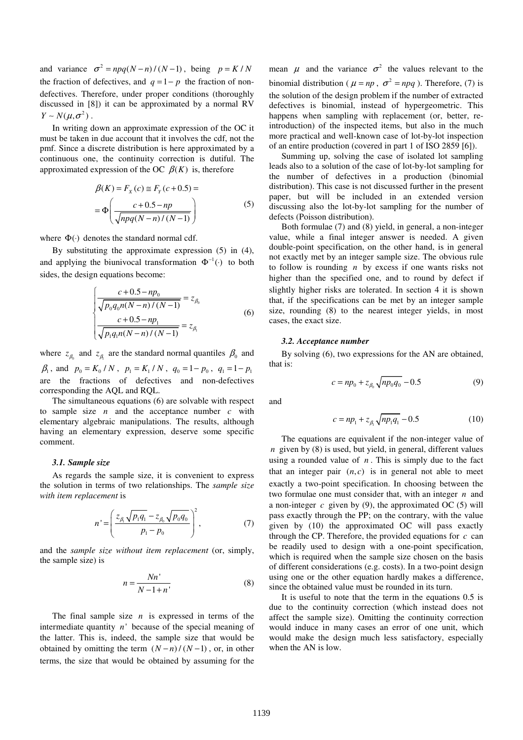and variance  $\sigma^2 = npq(N - n)/(N - 1)$ , being  $p = K/N$ the fraction of defectives, and  $q = 1 - p$  the fraction of nondefectives. Therefore, under proper conditions (thoroughly discussed in [8]) it can be approximated by a normal RV  $Y \sim N(\mu, \sigma^2)$ .

In writing down an approximate expression of the OC it must be taken in due account that it involves the cdf, not the pmf. Since a discrete distribution is here approximated by a continuous one, the continuity correction is dutiful. The approximated expression of the OC  $\beta(K)$  is, therefore

$$
\beta(K) = F_X(c) \approx F_Y(c+0.5) =
$$
  
= 
$$
\Phi\left(\frac{c+0.5-np}{\sqrt{npq(N-n)/(N-1)}}\right)
$$
 (5)

where  $\Phi(\cdot)$  denotes the standard normal cdf.

By substituting the approximate expression (5) in (4), and applying the biunivocal transformation  $\Phi^{-1}(\cdot)$  to both sides, the design equations become:

$$
\begin{cases}\n\frac{c + 0.5 - np_0}{\sqrt{p_0 q_0 n (N - n) / (N - 1)}} = z_{\beta_0} \\
\frac{c + 0.5 - np_1}{\sqrt{p_1 q_1 n (N - n) / (N - 1)}} = z_{\beta_1}\n\end{cases}
$$
\n(6)

where  $z_{\beta_0}$  and  $z_{\beta_1}$  are the standard normal quantiles  $\beta_0$  and  $\beta_1$ , and  $p_0 = K_0 / N$ ,  $p_1 = K_1 / N$ ,  $q_0 = 1 - p_0$ ,  $q_1 = 1 - p_1$ are the fractions of defectives and non-defectives corresponding the AQL and RQL.

The simultaneous equations (6) are solvable with respect to sample size *n* and the acceptance number *c* with elementary algebraic manipulations. The results, although having an elementary expression, deserve some specific comment.

#### *3.1. Sample size*

As regards the sample size, it is convenient to express the solution in terms of two relationships. The *sample size with item replacement* is

$$
n' = \left(\frac{z_{\beta_1} \sqrt{p_1 q_1} - z_{\beta_0} \sqrt{p_0 q_0}}{p_1 - p_0}\right)^2, \qquad (7)
$$

and the *sample size without item replacement* (or, simply, the sample size) is

$$
n = \frac{Nn'}{N - 1 + n'}\tag{8}
$$

The final sample size *n* is expressed in terms of the intermediate quantity  $n'$  because of the special meaning of the latter. This is, indeed, the sample size that would be obtained by omitting the term  $(N - n)/(N - 1)$ , or, in other terms, the size that would be obtained by assuming for the mean  $\mu$  and the variance  $\sigma^2$  the values relevant to the binomial distribution ( $\mu = np$ ,  $\sigma^2 = npq$ ). Therefore, (7) is the solution of the design problem if the number of extracted defectives is binomial, instead of hypergeometric. This happens when sampling with replacement (or, better, reintroduction) of the inspected items, but also in the much more practical and well-known case of lot-by-lot inspection of an entire production (covered in part 1 of ISO 2859 [6]).

Summing up, solving the case of isolated lot sampling leads also to a solution of the case of lot-by-lot sampling for the number of defectives in a production (binomial distribution). This case is not discussed further in the present paper, but will be included in an extended version discussing also the lot-by-lot sampling for the number of defects (Poisson distribution).

Both formulae (7) and (8) yield, in general, a non-integer value, while a final integer answer is needed. A given double-point specification, on the other hand, is in general not exactly met by an integer sample size. The obvious rule to follow is rounding *n* by excess if one wants risks not higher than the specified one, and to round by defect if slightly higher risks are tolerated. In section 4 it is shown that, if the specifications can be met by an integer sample size, rounding (8) to the nearest integer yields, in most cases, the exact size.

### *3.2. Acceptance number*

By solving (6), two expressions for the AN are obtained, that is:

$$
c = np_0 + z_{\beta_0} \sqrt{np_0 q_0} - 0.5 \tag{9}
$$

and

$$
c = np_1 + z_{\beta_1} \sqrt{np_1 q_1} - 0.5 \tag{10}
$$

The equations are equivalent if the non-integer value of *n* given by (8) is used, but yield, in general, different values using a rounded value of *n* . This is simply due to the fact that an integer pair  $(n, c)$  is in general not able to meet exactly a two-point specification. In choosing between the two formulae one must consider that, with an integer *n* and a non-integer  $c$  given by (9), the approximated OC (5) will pass exactly through the PP; on the contrary, with the value given by (10) the approximated OC will pass exactly through the CP. Therefore, the provided equations for *c* can be readily used to design with a one-point specification, which is required when the sample size chosen on the basis of different considerations (e.g. costs). In a two-point design using one or the other equation hardly makes a difference, since the obtained value must be rounded in its turn.

It is useful to note that the term in the equations 0.5 is due to the continuity correction (which instead does not affect the sample size). Omitting the continuity correction would induce in many cases an error of one unit, which would make the design much less satisfactory, especially when the AN is low.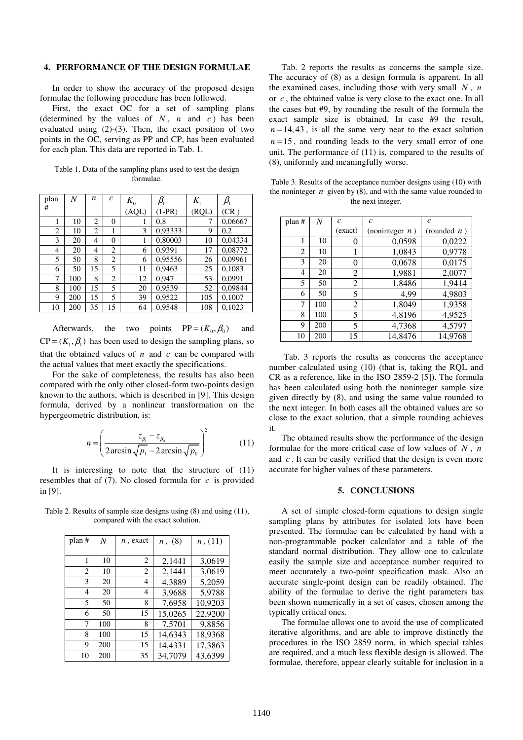# **4. PERFORMANCE OF THE DESIGN FORMULAE**

In order to show the accuracy of the proposed design formulae the following procedure has been followed.

First, the exact OC for a set of sampling plans (determined by the values of  $N$ ,  $n$  and  $c$ ) has been evaluated using (2)-(3). Then, the exact position of two points in the OC, serving as PP and CP, has been evaluated for each plan. This data are reported in Tab. 1.

Table 1. Data of the sampling plans used to test the design formulae.

| plan           | N   | n              | $\mathcal{C}_{0}$ | $K_0$ | $\beta_{\scriptscriptstyle 0}$ | $K_{1}$ | $\beta_{\text{\tiny{l}}}$ |
|----------------|-----|----------------|-------------------|-------|--------------------------------|---------|---------------------------|
| #              |     |                |                   | (AQL) | $(1-PR)$                       | (RQL)   | (CR)                      |
| 1              | 10  | $\overline{c}$ | $\overline{0}$    |       | 0.8                            | 7       | 0,06667                   |
| $\overline{2}$ | 10  | 2              | 1                 | 3     | 0,93333                        | 9       | 0,2                       |
| 3              | 20  | 4              | 0                 | 1     | 0,80003                        | 10      | 0,04334                   |
| 4              | 20  | 4              | 2                 | 6     | 0,9391                         | 17      | 0,08772                   |
| 5              | 50  | 8              | 2                 | 6     | 0,95556                        | 26      | 0,09961                   |
| 6              | 50  | 15             | 5                 | 11    | 0,9463                         | 25      | 0,1083                    |
| 7              | 100 | 8              | 2                 | 12    | 0.947                          | 53      | 0,0991                    |
| 8              | 100 | 15             | 5                 | 20    | 0,9539                         | 52      | 0,09844                   |
| 9              | 200 | 15             | 5                 | 39    | 0,9522                         | 105     | 0,1007                    |
| 10             | 200 | 35             | 15                | 64    | 0,9548                         | 108     | 0,1023                    |

Afterwards, the two points  $PP = (K_0, \beta_0)$  and  $CP = (K_1, \beta_1)$  has been used to design the sampling plans, so that the obtained values of  $n$  and  $c$  can be compared with the actual values that meet exactly the specifications.

For the sake of completeness, the results has also been compared with the only other closed-form two-points design known to the authors, which is described in [9]. This design formula, derived by a nonlinear transformation on the hypergeometric distribution, is:

$$
n = \left(\frac{z_{\beta_1} - z_{\beta_0}}{2\arcsin\sqrt{p_1} - 2\arcsin\sqrt{p_0}}\right)^2\tag{11}
$$

It is interesting to note that the structure of (11) resembles that of (7). No closed formula for *c* is provided in [9].

Table 2. Results of sample size designs using (8) and using (11), compared with the exact solution.

| plan # | N   | $n$ , exact | n, (8)  | n,(11)  |
|--------|-----|-------------|---------|---------|
|        |     |             |         |         |
| 1      | 10  | 2           | 2,1441  | 3,0619  |
| 2      | 10  | 2           | 2,1441  | 3,0619  |
| 3      | 20  | 4           | 4,3889  | 5,2059  |
| 4      | 20  | 4           | 3,9688  | 5,9788  |
| 5      | 50  | 8           | 7,6958  | 10,9203 |
| 6      | 50  | 15          | 15,0265 | 22,9200 |
| 7      | 100 | 8           | 7,5701  | 9,8856  |
| 8      | 100 | 15          | 14,6343 | 18,9368 |
| 9      | 200 | 15          | 14,4331 | 17,3863 |
| 10     | 200 | 35          | 34,7079 | 43,6399 |

Tab. 2 reports the results as concerns the sample size. The accuracy of (8) as a design formula is apparent. In all the examined cases, including those with very small *N* , *n* or *c* , the obtained value is very close to the exact one. In all the cases but #9, by rounding the result of the formula the exact sample size is obtained. In case #9 the result,  $n = 14,43$ , is all the same very near to the exact solution  $n = 15$ , and rounding leads to the very small error of one unit. The performance of (11) is, compared to the results of (8), uniformly and meaningfully worse.

Table 3. Results of the acceptance number designs using (10) with the noninteger  $n$  given by  $(8)$ , and with the same value rounded to the next integer.

| plan # | N   | $\mathcal{C}$ | $\mathcal{C}_{0}^{2}$ | $\mathcal{C}$  |
|--------|-----|---------------|-----------------------|----------------|
|        |     | (exact)       | (noninteger $n$ )     | (rounded $n$ ) |
|        | 10  | 0             | 0,0598                | 0,0222         |
| 2      | 10  |               | 1,0843                | 0,9778         |
| 3      | 20  | $\theta$      | 0,0678                | 0,0175         |
| 4      | 20  | 2             | 1,9881                | 2,0077         |
| 5      | 50  | 2             | 1,8486                | 1,9414         |
| 6      | 50  | 5             | 4,99                  | 4,9803         |
| 7      | 100 | 2             | 1,8049                | 1,9358         |
| 8      | 100 | 5             | 4,8196                | 4,9525         |
| 9      | 200 | 5             | 4,7368                | 4,5797         |
| 10     | 200 | 15            | 14,8476               | 14,9768        |

 Tab. 3 reports the results as concerns the acceptance number calculated using (10) (that is, taking the RQL and CR as a reference, like in the ISO 2859-2 [5]). The formula has been calculated using both the noninteger sample size given directly by (8), and using the same value rounded to the next integer. In both cases all the obtained values are so close to the exact solution, that a simple rounding achieves it.

The obtained results show the performance of the design formulae for the more critical case of low values of *N* , *n* and *c* . It can be easily verified that the design is even more accurate for higher values of these parameters.

#### **5. CONCLUSIONS**

A set of simple closed-form equations to design single sampling plans by attributes for isolated lots have been presented. The formulae can be calculated by hand with a non-programmable pocket calculator and a table of the standard normal distribution. They allow one to calculate easily the sample size and acceptance number required to meet accurately a two-point specification mask. Also an accurate single-point design can be readily obtained. The ability of the formulae to derive the right parameters has been shown numerically in a set of cases, chosen among the typically critical ones.

The formulae allows one to avoid the use of complicated iterative algorithms, and are able to improve distinctly the procedures in the ISO 2859 norm, in which special tables are required, and a much less flexible design is allowed. The formulae, therefore, appear clearly suitable for inclusion in a